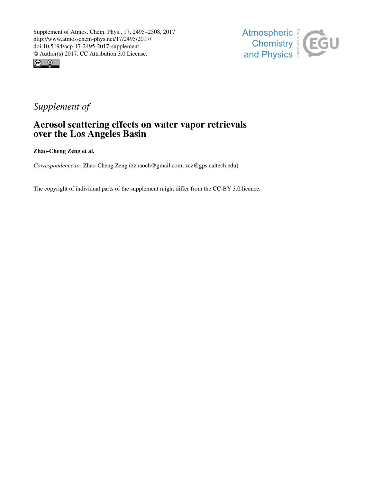



## *Supplement of*

## Aerosol scattering effects on water vapor retrievals over the Los Angeles Basin

Zhao-Cheng Zeng et al.

*Correspondence to:* Zhao-Cheng Zeng (zzhaoch@gmail.com, zcz@gps.caltech.edu)

The copyright of individual parts of the supplement might differ from the CC-BY 3.0 licence.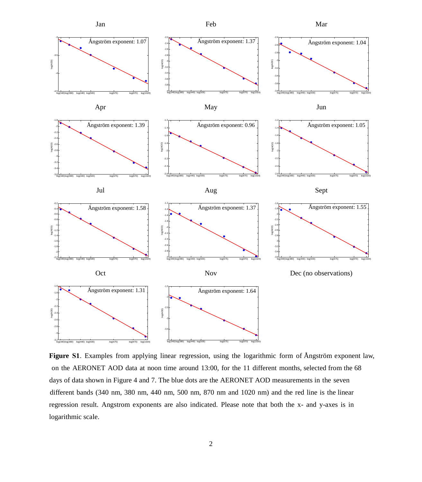

**Figure S1**. Examples from applying linear regression, using the logarithmic form of Ångström exponent law, on the AERONET AOD data at noon time around 13:00, for the 11 different months, selected from the 68 days of data shown in Figure 4 and 7. The blue dots are the AERONET AOD measurements in the seven different bands (340 nm, 380 nm, 440 nm, 500 nm, 870 nm and 1020 nm) and the red line is the linear regression result. Angstrom exponents are also indicated. Please note that both the x- and y-axes is in logarithmic scale.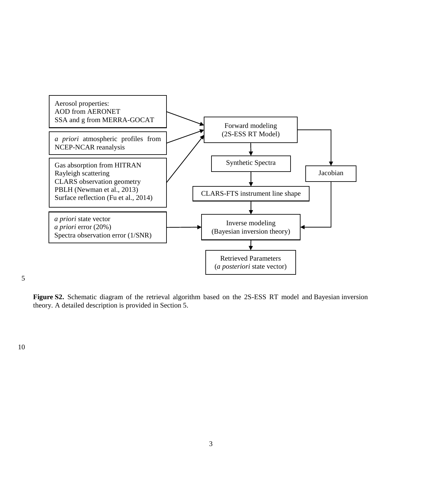

5

**Figure S2.** Schematic diagram of the retrieval algorithm based on the 2S-ESS RT model and Bayesian inversion theory. A detailed description is provided in Section 5.

10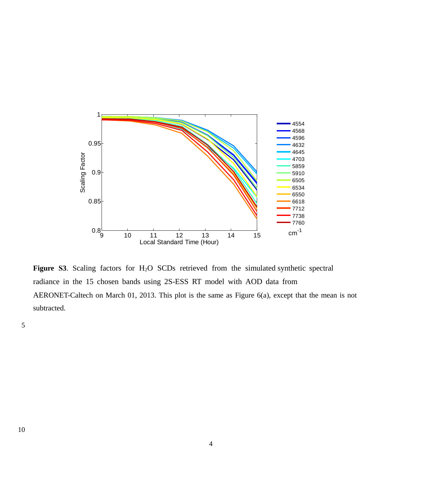

radiance in the 15 chosen bands using 2S-ESS RT model with AOD data from  $L_{\text{max}}$  asing  $L_{\text{max}}$  and  $R_{\text{max}}$  moder with **Figure S3**. Scaling factors for H2O SCDs retrieved from the simulated synthetic spectral AERONET-Caltech on March 01, 2013. This plot is the same as Figure 6(a), except that the mean is not subtracted.